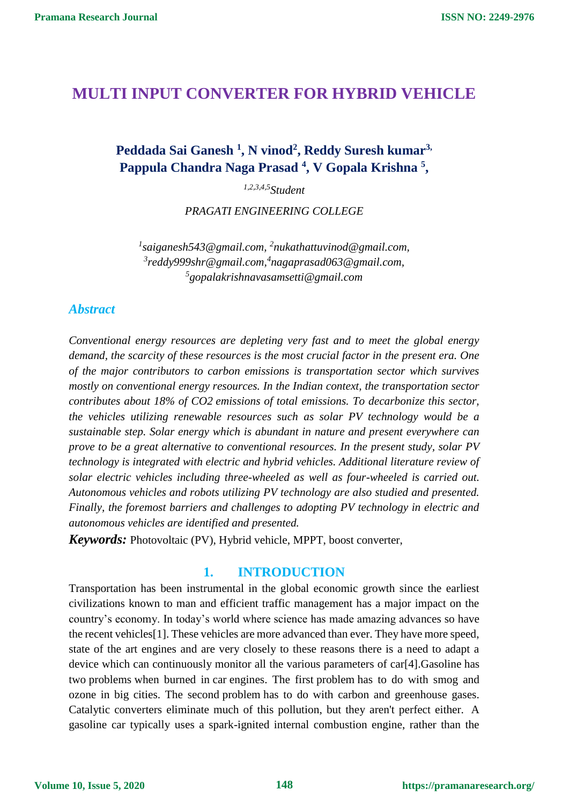## **MULTI INPUT CONVERTER FOR HYBRID VEHICLE**

## **Peddada Sai Ganesh <sup>1</sup> , N vinod<sup>2</sup> , Reddy Suresh kumar3, Pappula Chandra Naga Prasad <sup>4</sup> , V Gopala Krishna <sup>5</sup> ,**

*1,2,3,4,5Student*

*PRAGATI ENGINEERING COLLEGE*

<sup>1</sup> saiganesh543@gmail.com, <sup>2</sup>nukathattuvinod@gmail.com, *3 [reddy999shr@gmail.com,](mailto:3reddy999shr@gmail.com) 4 [nagaprasad063@gmail.com,](mailto:nagaprasad063@gmail.com) 5 [gopalakrishnavasamsetti@gmail.com](mailto:gopalakrishnavasamsetti@gmail.com)*

#### *Abstract*

*Conventional energy resources are depleting very fast and to meet the global energy demand, the scarcity of these resources is the most crucial factor in the present era. One of the major contributors to carbon emissions is transportation sector which survives mostly on conventional energy resources. In the Indian context, the transportation sector contributes about 18% of CO2 emissions of total emissions. To decarbonize this sector, the vehicles utilizing renewable resources such as solar PV technology would be a sustainable step. Solar energy which is abundant in nature and present everywhere can prove to be a great alternative to conventional resources. In the present study, solar PV technology is integrated with electric and hybrid vehicles. Additional literature review of solar electric vehicles including three-wheeled as well as four-wheeled is carried out. Autonomous vehicles and robots utilizing PV technology are also studied and presented. Finally, the foremost barriers and challenges to adopting PV technology in electric and autonomous vehicles are identified and presented.*

*Keywords:* Photovoltaic (PV), Hybrid vehicle, MPPT, boost converter,

### **1. INTRODUCTION**

Transportation has been instrumental in the global economic growth since the earliest civilizations known to man and efficient traffic management has a major impact on the country's economy. In today's world where science has made amazing advances so have the recent vehicles[1]. These vehicles are more advanced than ever. They have more speed, state of the art engines and are very closely to these reasons there is a need to adapt a device which can continuously monitor all the various parameters of car[4].Gasoline has two problems when burned in car engines. The first problem has to do with smog and ozone in big cities. The second problem has to do with carbon and greenhouse gases. Catalytic converters eliminate much of this pollution, but they aren't perfect either. A gasoline car typically uses a spark-ignited internal combustion engine, rather than the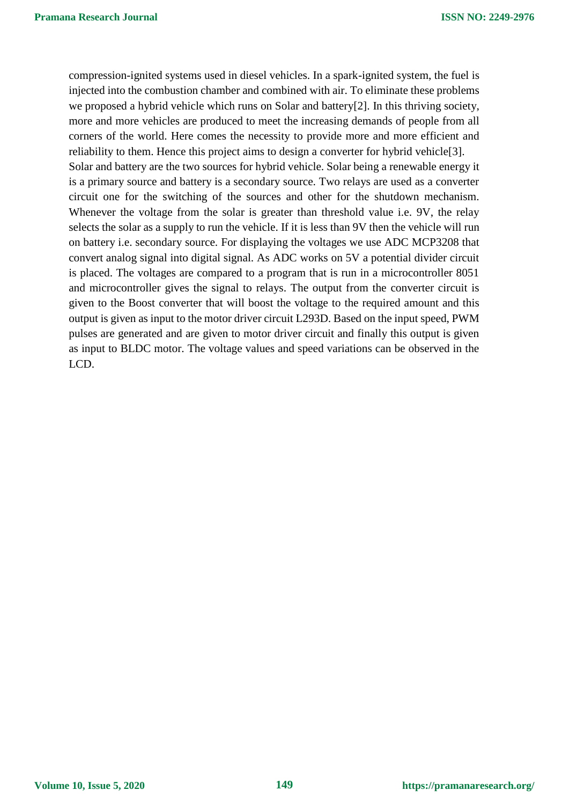compression-ignited systems used in diesel vehicles. In a spark-ignited system, the fuel is injected into the combustion chamber and combined with air. To eliminate these problems we proposed a hybrid vehicle which runs on Solar and battery[2]. In this thriving society, more and more vehicles are produced to meet the increasing demands of people from all corners of the world. Here comes the necessity to provide more and more efficient and reliability to them. Hence this project aims to design a converter for hybrid vehicle[3]. Solar and battery are the two sources for hybrid vehicle. Solar being a renewable energy it is a primary source and battery is a secondary source. Two relays are used as a converter circuit one for the switching of the sources and other for the shutdown mechanism. Whenever the voltage from the solar is greater than threshold value i.e. 9V, the relay selects the solar as a supply to run the vehicle. If it is less than 9V then the vehicle will run on battery i.e. secondary source. For displaying the voltages we use ADC MCP3208 that convert analog signal into digital signal. As ADC works on 5V a potential divider circuit is placed. The voltages are compared to a program that is run in a microcontroller 8051 and microcontroller gives the signal to relays. The output from the converter circuit is given to the Boost converter that will boost the voltage to the required amount and this output is given as input to the motor driver circuit L293D. Based on the input speed, PWM pulses are generated and are given to motor driver circuit and finally this output is given as input to BLDC motor. The voltage values and speed variations can be observed in the LCD.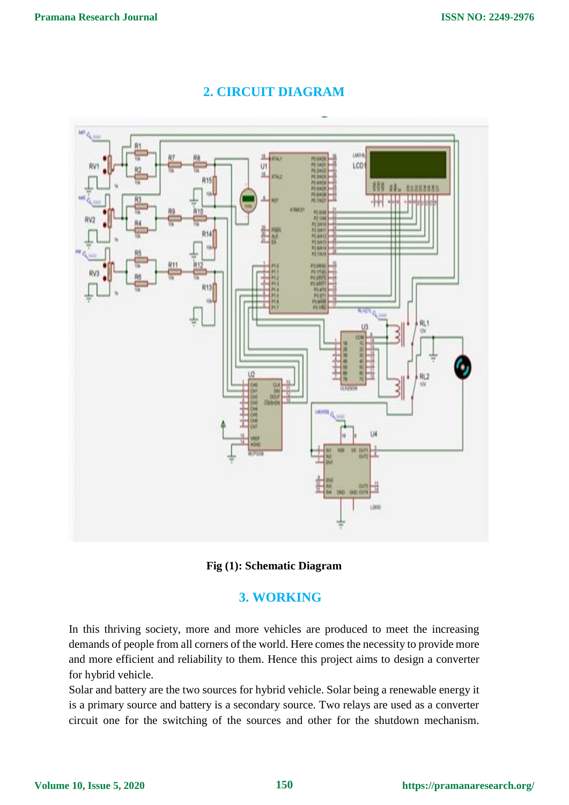

# **2. CIRCUIT DIAGRAM**



### **3. WORKING**

In this thriving society, more and more vehicles are produced to meet the increasing demands of people from all corners of the world. Here comes the necessity to provide more and more efficient and reliability to them. Hence this project aims to design a converter for hybrid vehicle.

Solar and battery are the two sources for hybrid vehicle. Solar being a renewable energy it is a primary source and battery is a secondary source. Two relays are used as a converter circuit one for the switching of the sources and other for the shutdown mechanism.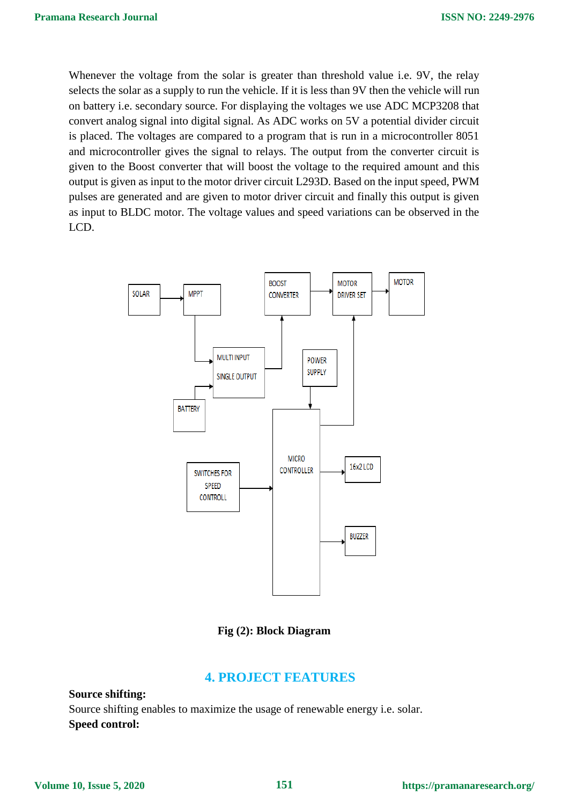Whenever the voltage from the solar is greater than threshold value i.e. 9V, the relay selects the solar as a supply to run the vehicle. If it is less than 9V then the vehicle will run on battery i.e. secondary source. For displaying the voltages we use ADC MCP3208 that convert analog signal into digital signal. As ADC works on 5V a potential divider circuit is placed. The voltages are compared to a program that is run in a microcontroller 8051 and microcontroller gives the signal to relays. The output from the converter circuit is given to the Boost converter that will boost the voltage to the required amount and this output is given as input to the motor driver circuit L293D. Based on the input speed, PWM pulses are generated and are given to motor driver circuit and finally this output is given as input to BLDC motor. The voltage values and speed variations can be observed in the LCD.



**Fig (2): Block Diagram**

### **4. PROJECT FEATURES**

**Source shifting:** Source shifting enables to maximize the usage of renewable energy i.e. solar. **Speed control:**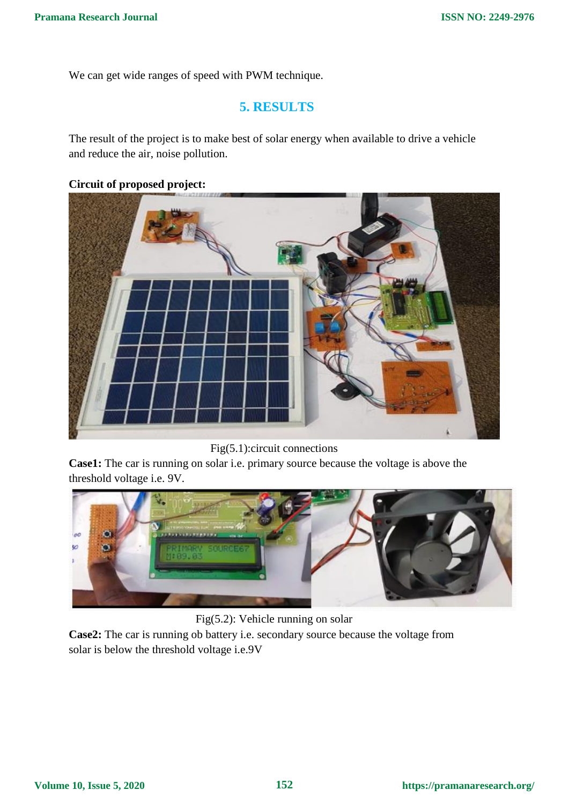We can get wide ranges of speed with PWM technique.

### **5. RESULTS**

The result of the project is to make best of solar energy when available to drive a vehicle and reduce the air, noise pollution.

## **Circuit of proposed project:**



Fig(5.1):circuit connections

**Case1:** The car is running on solar i.e. primary source because the voltage is above the threshold voltage i.e. 9V.



Fig(5.2): Vehicle running on solar

**Case2:** The car is running ob battery i.e. secondary source because the voltage from solar is below the threshold voltage i.e.9V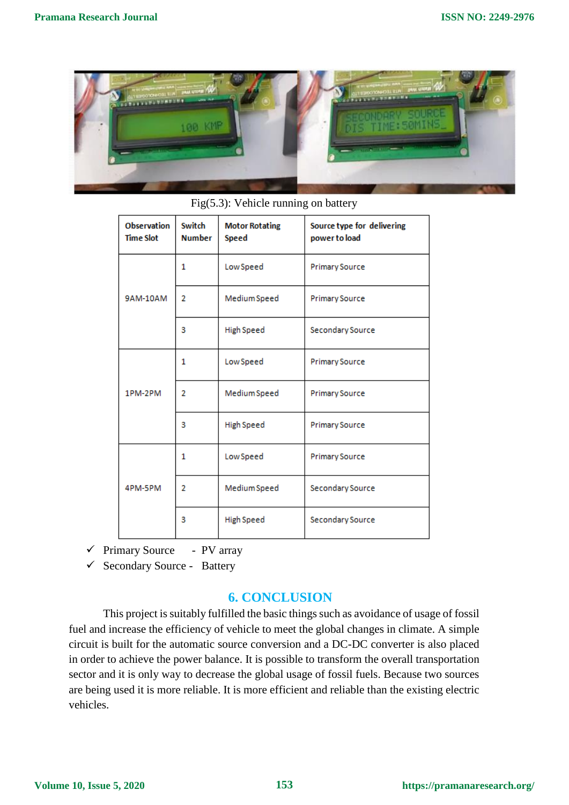

|  | <b>Observation</b><br><b>Time Slot</b> | Switch<br><b>Number</b> | <b>Motor Rotating</b><br><b>Speed</b> | Source type for delivering<br>power to load |
|--|----------------------------------------|-------------------------|---------------------------------------|---------------------------------------------|
|  | 9AM-10AM                               | 1                       | Low Speed                             | <b>Primary Source</b>                       |
|  |                                        | $\overline{2}$          | Medium Speed                          | <b>Primary Source</b>                       |
|  |                                        | 3                       | High Speed                            | Secondary Source                            |
|  | 1PM-2PM                                | 1                       | Low Speed                             | <b>Primary Source</b>                       |
|  |                                        | 2                       | Medium Speed                          | <b>Primary Source</b>                       |
|  |                                        | 3                       | <b>High Speed</b>                     | <b>Primary Source</b>                       |
|  | 4PM-5PM                                | 1                       | Low Speed                             | <b>Primary Source</b>                       |
|  |                                        | $\overline{2}$          | Medium Speed                          | Secondary Source                            |
|  |                                        | 3                       | High Speed                            | Secondary Source                            |

Fig(5.3): Vehicle running on battery

- $\checkmark$  Primary Source PV array
- $\checkmark$  Secondary Source Battery

### **6. CONCLUSION**

This project is suitably fulfilled the basic things such as avoidance of usage of fossil fuel and increase the efficiency of vehicle to meet the global changes in climate. A simple circuit is built for the automatic source conversion and a DC-DC converter is also placed in order to achieve the power balance. It is possible to transform the overall transportation sector and it is only way to decrease the global usage of fossil fuels. Because two sources are being used it is more reliable. It is more efficient and reliable than the existing electric vehicles.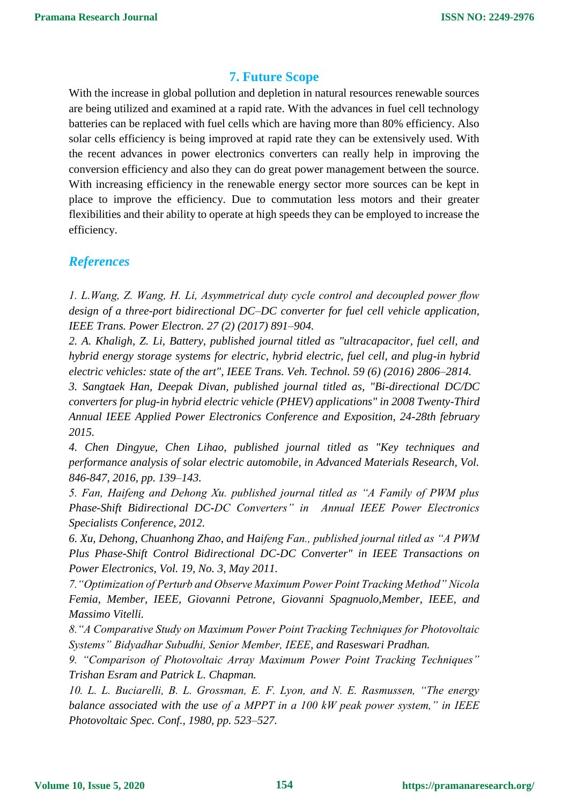#### **7. Future Scope**

With the increase in global pollution and depletion in natural resources renewable sources are being utilized and examined at a rapid rate. With the advances in fuel cell technology batteries can be replaced with fuel cells which are having more than 80% efficiency. Also solar cells efficiency is being improved at rapid rate they can be extensively used. With the recent advances in power electronics converters can really help in improving the conversion efficiency and also they can do great power management between the source. With increasing efficiency in the renewable energy sector more sources can be kept in place to improve the efficiency. Due to commutation less motors and their greater flexibilities and their ability to operate at high speeds they can be employed to increase the efficiency.

#### *References*

*1. L.Wang, Z. Wang, H. Li, Asymmetrical duty cycle control and decoupled power flow design of a three-port bidirectional DC–DC converter for fuel cell vehicle application, IEEE Trans. Power Electron. 27 (2) (2017) 891–904.*

*2. A. Khaligh, Z. Li, Battery, published journal titled as "ultracapacitor, fuel cell, and hybrid energy storage systems for electric, hybrid electric, fuel cell, and plug-in hybrid electric vehicles: state of the art", IEEE Trans. Veh. Technol. 59 (6) (2016) 2806–2814.*

*3. Sangtaek Han, Deepak Divan, published journal titled as, "Bi-directional DC/DC converters for plug-in hybrid electric vehicle (PHEV) applications" in 2008 Twenty-Third Annual IEEE Applied Power Electronics Conference and Exposition, 24-28th february 2015.* 

*4. Chen Dingyue, Chen Lihao, published journal titled as "Key techniques and performance analysis of solar electric automobile, in Advanced Materials Research, Vol. 846-847, 2016, pp. 139–143.* 

*5. Fan, Haifeng and Dehong Xu. published journal titled as "A Family of PWM plus Phase-Shift Bidirectional DC-DC Converters" in Annual IEEE Power Electronics Specialists Conference, 2012.*

*6. Xu, Dehong, Chuanhong Zhao, and Haifeng Fan., published journal titled as "A PWM Plus Phase-Shift Control Bidirectional DC-DC Converter" in IEEE Transactions on Power Electronics, Vol. 19, No. 3, May 2011.*

*7."Optimization of Perturb and Observe Maximum Power Point Tracking Method" Nicola Femia, Member, IEEE, Giovanni Petrone, Giovanni Spagnuolo,Member, IEEE, and Massimo Vitelli.*

*8."A Comparative Study on Maximum Power Point Tracking Techniques for Photovoltaic Systems" Bidyadhar Subudhi, Senior Member, IEEE, and Raseswari Pradhan.*

*9. "Comparison of Photovoltaic Array Maximum Power Point Tracking Techniques" Trishan Esram and Patrick L. Chapman.*

*10. L. L. Buciarelli, B. L. Grossman, E. F. Lyon, and N. E. Rasmussen, "The energy balance associated with the use of a MPPT in a 100 kW peak power system," in IEEE Photovoltaic Spec. Conf., 1980, pp. 523–527.*